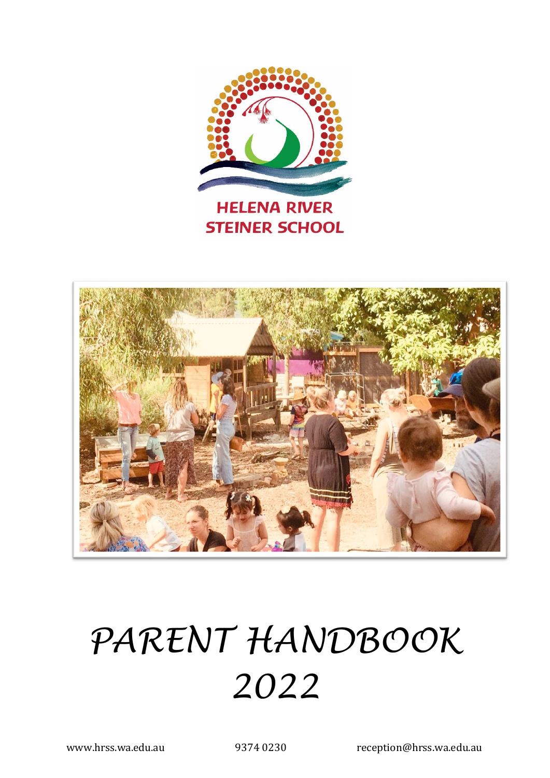



# *PARENT HANDBOOK 2022*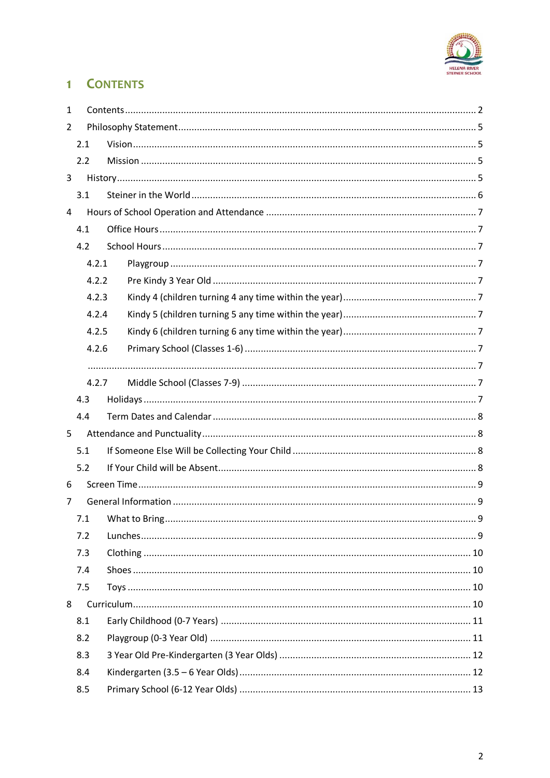

# <span id="page-1-0"></span>1 **CONTENTS**

| $\mathbf{1}$   |       |  |  |  |
|----------------|-------|--|--|--|
| $\overline{2}$ |       |  |  |  |
|                | 2.1   |  |  |  |
|                | 2.2   |  |  |  |
| 3              |       |  |  |  |
|                | 3.1   |  |  |  |
| 4              |       |  |  |  |
|                | 4.1   |  |  |  |
|                | 4.2   |  |  |  |
|                | 4.2.1 |  |  |  |
| 4.2.2          |       |  |  |  |
|                | 4.2.3 |  |  |  |
|                | 4.2.4 |  |  |  |
|                | 4.2.5 |  |  |  |
|                | 4.2.6 |  |  |  |
|                |       |  |  |  |
|                | 4.2.7 |  |  |  |
|                | 4.3   |  |  |  |
|                | 4.4   |  |  |  |
| 5              |       |  |  |  |
|                | 5.1   |  |  |  |
|                | 5.2   |  |  |  |
| 6              |       |  |  |  |
| 7              |       |  |  |  |
|                |       |  |  |  |
|                | 7.2   |  |  |  |
|                | 7.3   |  |  |  |
|                | 7.4   |  |  |  |
|                | 7.5   |  |  |  |
| 8              |       |  |  |  |
|                | 8.1   |  |  |  |
|                | 8.2   |  |  |  |
|                | 8.3   |  |  |  |
|                | 8.4   |  |  |  |
|                | 8.5   |  |  |  |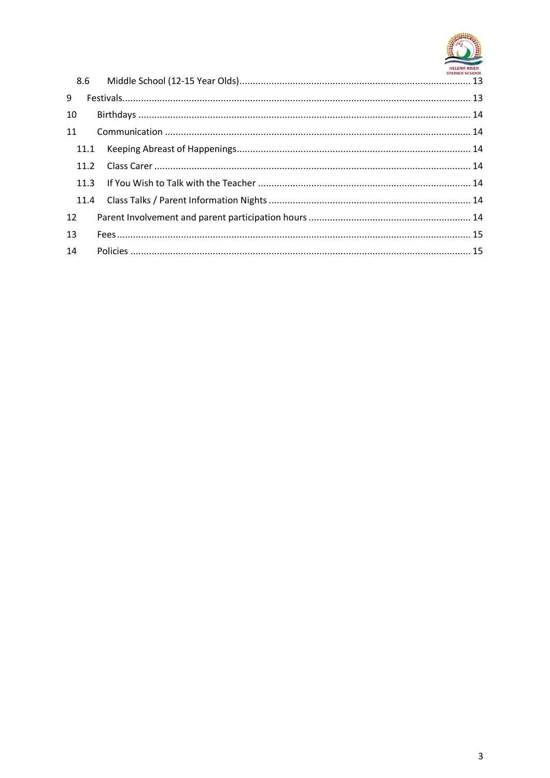

| 9  |  |
|----|--|
| 10 |  |
| 11 |  |
|    |  |
|    |  |
|    |  |
|    |  |
| 12 |  |
| 13 |  |
| 14 |  |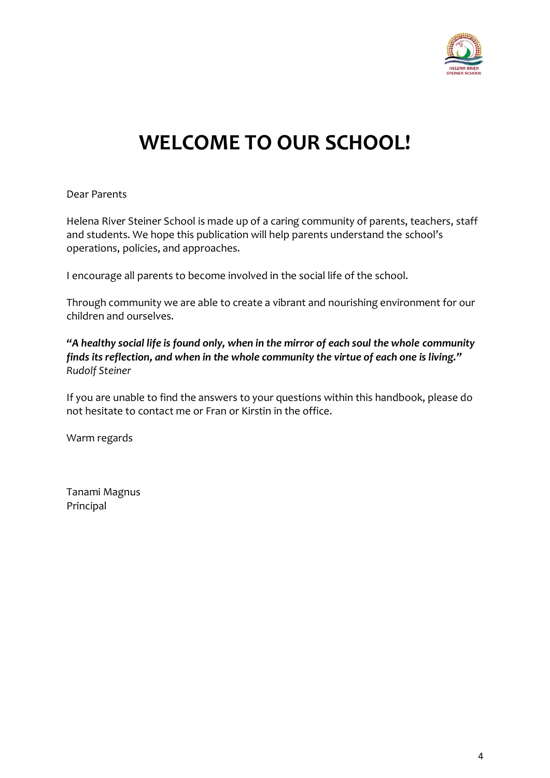

# **WELCOME TO OUR SCHOOL!**

Dear Parents

Helena River Steiner School is made up of a caring community of parents, teachers, staff and students. We hope this publication will help parents understand the school's operations, policies, and approaches.

I encourage all parents to become involved in the social life of the school.

Through community we are able to create a vibrant and nourishing environment for our children and ourselves.

*"A healthy social life is found only, when in the mirror of each soul the whole community finds its reflection, and when in the whole community the virtue of each one is living." Rudolf Steiner*

If you are unable to find the answers to your questions within this handbook, please do not hesitate to contact me or Fran or Kirstin in the office.

Warm regards

Tanami Magnus Principal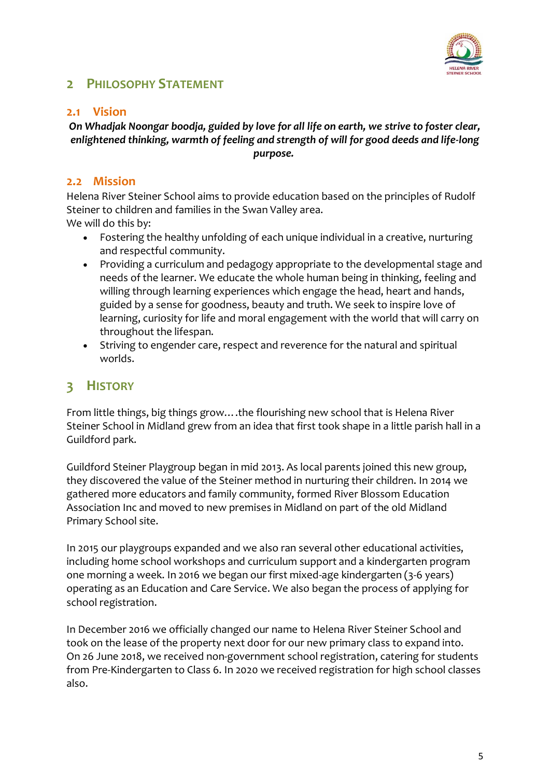

#### <span id="page-4-0"></span>**2 PHILOSOPHY STATEMENT**

#### <span id="page-4-1"></span>**2.1 Vision**

#### *On Whadjak Noongar boodja, guided by love for all life on earth, we strive to foster clear, enlightened thinking, warmth of feeling and strength of will for good deeds and life-long purpose.*

#### <span id="page-4-2"></span>**2.2 Mission**

Helena River Steiner School aims to provide education based on the principles of Rudolf Steiner to children and families in the Swan Valley area. We will do this by:

- Fostering the healthy unfolding of each unique individual in a creative, nurturing and respectful community.
- Providing a curriculum and pedagogy appropriate to the developmental stage and needs of the learner. We educate the whole human being in thinking, feeling and willing through learning experiences which engage the head, heart and hands, guided by a sense for goodness, beauty and truth. We seek to inspire love of learning, curiosity for life and moral engagement with the world that will carry on throughout the lifespan.
- Striving to engender care, respect and reverence for the natural and spiritual worlds.

# <span id="page-4-3"></span>**3 HISTORY**

From little things, big things grow….the flourishing new school that is Helena River Steiner School in Midland grew from an idea that first took shape in a little parish hall in a Guildford park.

Guildford Steiner Playgroup began in mid 2013. As local parents joined this new group, they discovered the value of the Steiner method in nurturing their children. In 2014 we gathered more educators and family community, formed River Blossom Education Association Inc and moved to new premises in Midland on part of the old Midland Primary School site.

In 2015 our playgroups expanded and we also ran several other educational activities, including home school workshops and curriculum support and a kindergarten program one morning a week. In 2016 we began our first mixed-age kindergarten (3-6 years) operating as an Education and Care Service. We also began the process of applying for school registration.

In December 2016 we officially changed our name to Helena River Steiner School and took on the lease of the property next door for our new primary class to expand into. On 26 June 2018, we received non-government school registration, catering for students from Pre-Kindergarten to Class 6. In 2020 we received registration for high school classes also.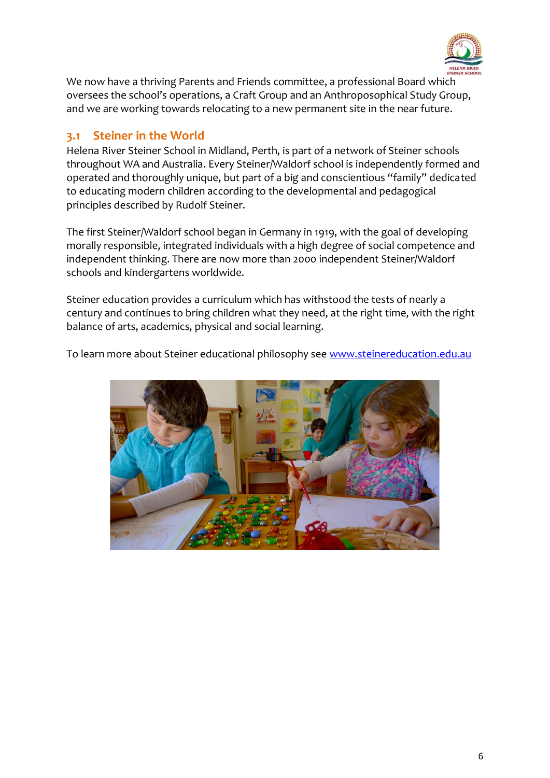

We now have a thriving Parents and Friends committee, a professional Board which oversees the school's operations, a Craft Group and an Anthroposophical Study Group, and we are working towards relocating to a new permanent site in the near future.

#### <span id="page-5-0"></span>**3.1 Steiner in the World**

Helena River Steiner School in Midland, Perth, is part of a network of Steiner schools throughout WA and Australia. Every Steiner/Waldorf school is independently formed and operated and thoroughly unique, but part of a big and conscientious "family" dedicated to educating modern children according to the developmental and pedagogical principles described by Rudolf Steiner.

The first Steiner/Waldorf school began in Germany in 1919, with the goal of developing morally responsible, integrated individuals with a high degree of social competence and independent thinking. There are now more than 2000 independent Steiner/Waldorf schools and kindergartens worldwide.

Steiner education provides a curriculum which has withstood the tests of nearly a century and continues to bring children what they need, at the right time, with the right balance of arts, academics, physical and social learning.

To learn more about Steiner educational philosophy see [www.steinereducation.edu.au](http://www.steinereducation.edu.au/)

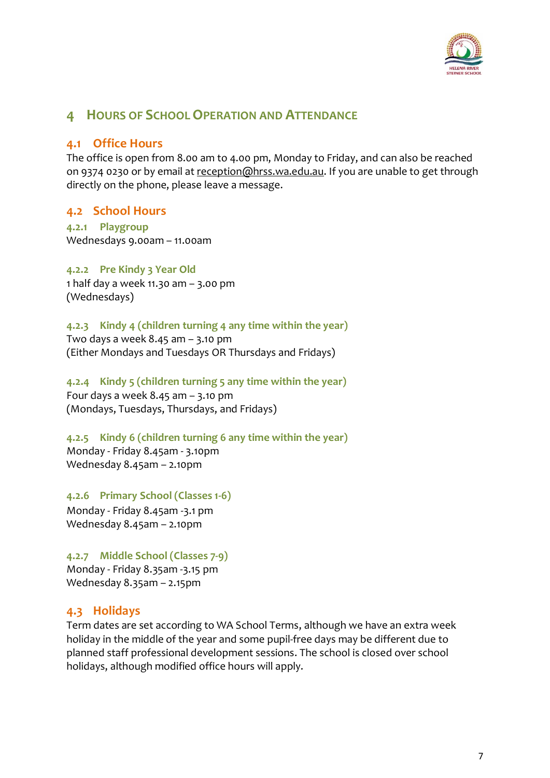

#### <span id="page-6-0"></span>**4 HOURS OF SCHOOL OPERATION AND ATTENDANCE**

#### <span id="page-6-1"></span>**4.1 Office Hours**

The office is open from 8.00 am to 4.00 pm, Monday to Friday, and can also be reached on 9374 0230 or by email at [reception@hrss.wa.edu.au.](mailto:reception@hrss.wa.edu.au) If you are unable to get through directly on the phone, please leave a message.

#### <span id="page-6-2"></span>**4.2 School Hours**

<span id="page-6-3"></span>**4.2.1 Playgroup**  Wednesdays 9.00am – 11.00am

<span id="page-6-4"></span>**4.2.2 Pre Kindy 3 Year Old** 1 half day a week 11.30 am – 3.00 pm (Wednesdays)

<span id="page-6-5"></span>**4.2.3 Kindy 4 (children turning 4 any time within the year)**  Two days a week 8.45 am – 3.10 pm (Either Mondays and Tuesdays OR Thursdays and Fridays)

<span id="page-6-6"></span>**4.2.4 Kindy 5 (children turning 5 any time within the year)**  Four days a week  $8.45$  am  $-$  3.10 pm (Mondays, Tuesdays, Thursdays, and Fridays)

<span id="page-6-7"></span>**4.2.5 Kindy 6 (children turning 6 any time within the year)**  Monday - Friday 8.45am - 3.10pm Wednesday 8.45am – 2.10pm

<span id="page-6-8"></span>**4.2.6 Primary School (Classes 1-6)**

<span id="page-6-9"></span>Monday - Friday 8.45am -3.1 pm Wednesday 8.45am – 2.10pm

<span id="page-6-10"></span>**4.2.7 Middle School (Classes 7-9)** Monday - Friday 8.35am -3.15 pm Wednesday 8.35am – 2.15pm

#### <span id="page-6-11"></span>**4.3 Holidays**

Term dates are set according to WA School Terms, although we have an extra week holiday in the middle of the year and some pupil-free days may be different due to planned staff professional development sessions. The school is closed over school holidays, although modified office hours will apply.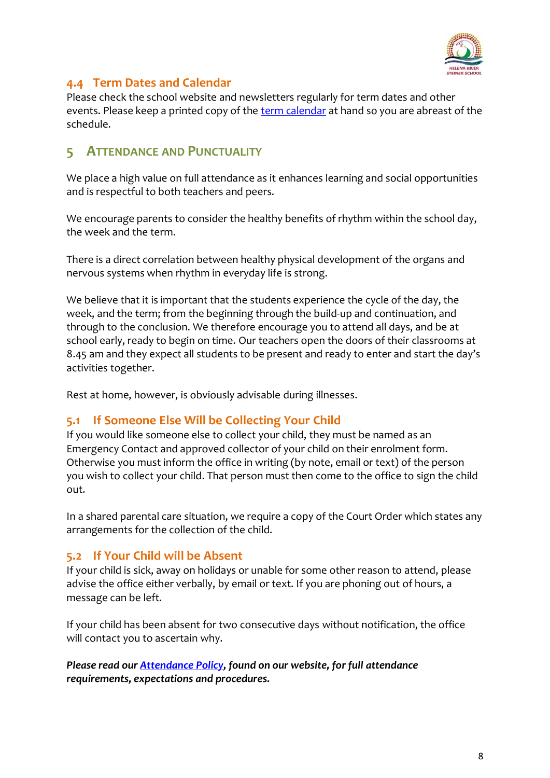

#### <span id="page-7-0"></span>**4.4 Term Dates and Calendar**

Please check the school website and newsletters regularly for term dates and other events. Please keep a printed copy of the [term calendar](http://www.hrss.wa.edu.au/term-dates-calendar/) at hand so you are abreast of the schedule.

#### <span id="page-7-1"></span>**5 ATTENDANCE AND PUNCTUALITY**

We place a high value on full attendance as it enhances learning and social opportunities and is respectful to both teachers and peers.

We encourage parents to consider the healthy benefits of rhythm within the school day, the week and the term.

There is a direct correlation between healthy physical development of the organs and nervous systems when rhythm in everyday life is strong.

We believe that it is important that the students experience the cycle of the day, the week, and the term; from the beginning through the build-up and continuation, and through to the conclusion. We therefore encourage you to attend all days, and be at school early, ready to begin on time. Our teachers open the doors of their classrooms at 8.45 am and they expect all students to be present and ready to enter and start the day's activities together.

Rest at home, however, is obviously advisable during illnesses.

#### <span id="page-7-2"></span>**5.1 If Someone Else Will be Collecting Your Child**

If you would like someone else to collect your child, they must be named as an Emergency Contact and approved collector of your child on their enrolment form. Otherwise you must inform the office in writing (by note, email or text) of the person you wish to collect your child. That person must then come to the office to sign the child out.

In a shared parental care situation, we require a copy of the Court Order which states any arrangements for the collection of the child.

#### <span id="page-7-3"></span>**5.2 If Your Child will be Absent**

If your child is sick, away on holidays or unable for some other reason to attend, please advise the office either verbally, by email or text. If you are phoning out of hours, a message can be left.

If your child has been absent for two consecutive days without notification, the office will contact you to ascertain why.

*Please read ou[r Attendance Policy,](https://www.hrss.wa.edu.au/wp-content/uploads/2020/04/HR-Attendance-Policy-052019-v2.pdf) found on our website, for full attendance requirements, expectations and procedures.*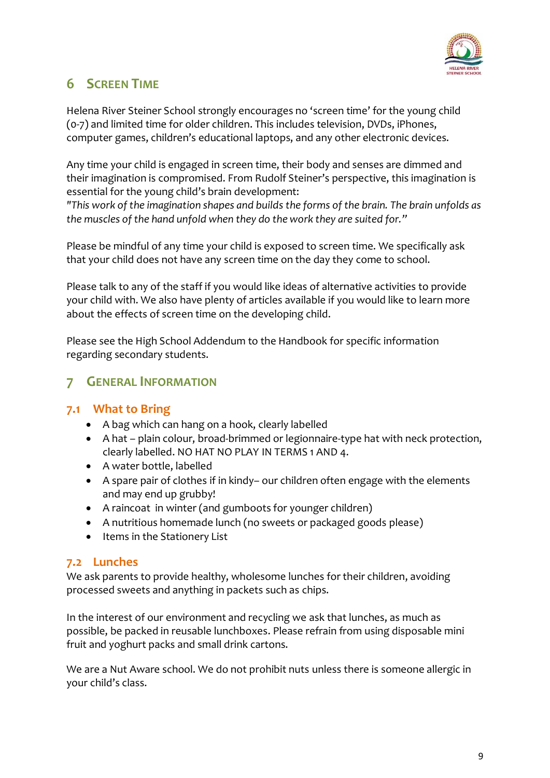

# <span id="page-8-0"></span>**6 SCREEN TIME**

Helena River Steiner School strongly encourages no 'screen time' for the young child (0-7) and limited time for older children. This includes television, DVDs, iPhones, computer games, children's educational laptops, and any other electronic devices.

Any time your child is engaged in screen time, their body and senses are dimmed and their imagination is compromised. From Rudolf Steiner's perspective, this imagination is essential for the young child's brain development:

*"This work of the imagination shapes and builds the forms of the brain. The brain unfolds as the muscles of the hand unfold when they do the work they are suited for."* 

Please be mindful of any time your child is exposed to screen time. We specifically ask that your child does not have any screen time on the day they come to school.

Please talk to any of the staff if you would like ideas of alternative activities to provide your child with. We also have plenty of articles available if you would like to learn more about the effects of screen time on the developing child.

Please see the High School Addendum to the Handbook for specific information regarding secondary students.

#### <span id="page-8-1"></span>**7 GENERAL INFORMATION**

#### <span id="page-8-2"></span>**7.1 What to Bring**

- A bag which can hang on a hook, clearly labelled
- A hat plain colour, broad-brimmed or legionnaire-type hat with neck protection, clearly labelled. NO HAT NO PLAY IN TERMS 1 AND 4.
- A water bottle, labelled
- A spare pair of clothes if in kindy– our children often engage with the elements and may end up grubby!
- A raincoat in winter (and gumboots for younger children)
- A nutritious homemade lunch (no sweets or packaged goods please)
- Items in the Stationery List

#### <span id="page-8-3"></span>**7.2 Lunches**

We ask parents to provide healthy, wholesome lunches for their children, avoiding processed sweets and anything in packets such as chips.

In the interest of our environment and recycling we ask that lunches, as much as possible, be packed in reusable lunchboxes. Please refrain from using disposable mini fruit and yoghurt packs and small drink cartons.

We are a Nut Aware school. We do not prohibit nuts unless there is someone allergic in your child's class.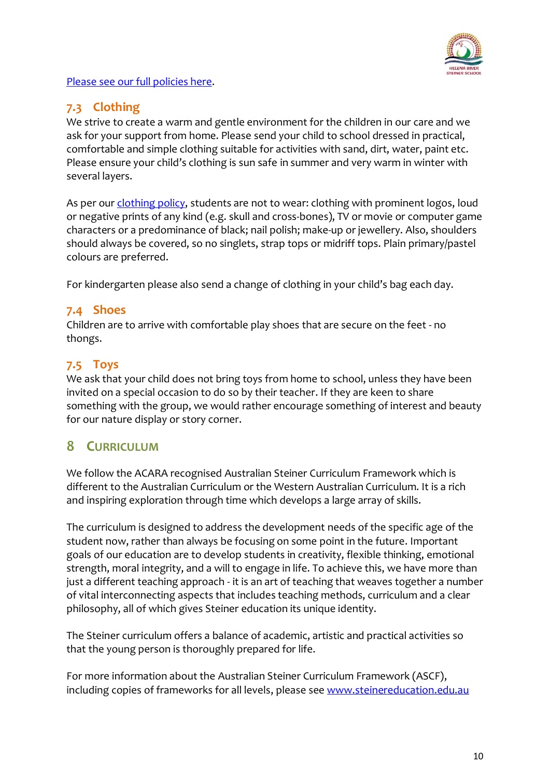

[Please see our full policies here.](https://www.hrss.wa.edu.au/our-school/school-policies/)

#### <span id="page-9-0"></span>**7.3 Clothing**

We strive to create a warm and gentle environment for the children in our care and we ask for your support from home. Please send your child to school dressed in practical, comfortable and simple clothing suitable for activities with sand, dirt, water, paint etc. Please ensure your child's clothing is sun safe in summer and very warm in winter with several layers.

As per ou[r clothing policy,](https://www.hrss.wa.edu.au/wp-content/uploads/2020/04/HR-Clothing-Policy-012020-v2.pdf) students are not to wear: clothing with prominent logos, loud or negative prints of any kind (e.g. skull and cross-bones), TV or movie or computer game characters or a predominance of black; nail polish; make-up or jewellery. Also, shoulders should always be covered, so no singlets, strap tops or midriff tops. Plain primary/pastel colours are preferred.

For kindergarten please also send a change of clothing in your child's bag each day.

#### <span id="page-9-1"></span>**7.4 Shoes**

Children are to arrive with comfortable play shoes that are secure on the feet - no thongs.

#### <span id="page-9-2"></span>**7.5 Toys**

We ask that your child does not bring toys from home to school, unless they have been invited on a special occasion to do so by their teacher. If they are keen to share something with the group, we would rather encourage something of interest and beauty for our nature display or story corner.

## <span id="page-9-3"></span>**8 CURRICULUM**

We follow the ACARA recognised Australian Steiner Curriculum Framework which is different to the Australian Curriculum or the Western Australian Curriculum. It is a rich and inspiring exploration through time which develops a large array of skills.

The curriculum is designed to address the development needs of the specific age of the student now, rather than always be focusing on some point in the future. Important goals of our education are to develop students in creativity, flexible thinking, emotional strength, moral integrity, and a will to engage in life. To achieve this, we have more than just a different teaching approach - it is an art of teaching that weaves together a number of vital interconnecting aspects that includes teaching methods, curriculum and a clear philosophy, all of which gives Steiner education its unique identity.

The Steiner curriculum offers a balance of academic, artistic and practical activities so that the young person is thoroughly prepared for life.

For more information about the Australian Steiner Curriculum Framework (ASCF), including copies of frameworks for all levels, please see [www.steinereducation.edu.au](http://www.steinereducation.edu.au/)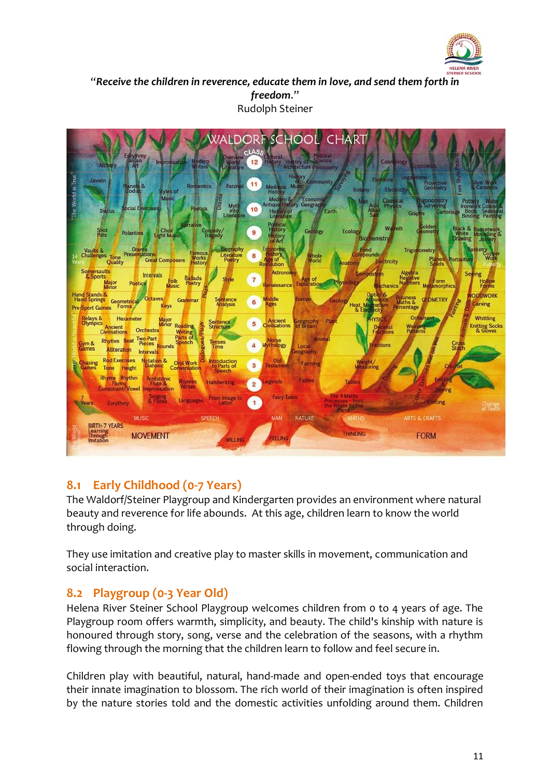

"*Receive the children in reverence, educate them in love, and send them forth in freedom*." Rudolph Steiner



#### <span id="page-10-0"></span>**8.1 Early Childhood (0-7 Years)**

The Waldorf/Steiner Playgroup and Kindergarten provides an environment where natural beauty and reverence for life abounds. At this age, children learn to know the world through doing.

They use imitation and creative play to master skills in movement, communication and social interaction.

#### <span id="page-10-1"></span>**8.2 Playgroup (0-3 Year Old)**

Helena River Steiner School Playgroup welcomes children from 0 to 4 years of age. The Playgroup room offers warmth, simplicity, and beauty. The child's kinship with nature is honoured through story, song, verse and the celebration of the seasons, with a rhythm flowing through the morning that the children learn to follow and feel secure in.

Children play with beautiful, natural, hand-made and open-ended toys that encourage their innate imagination to blossom. The rich world of their imagination is often inspired by the nature stories told and the domestic activities unfolding around them. Children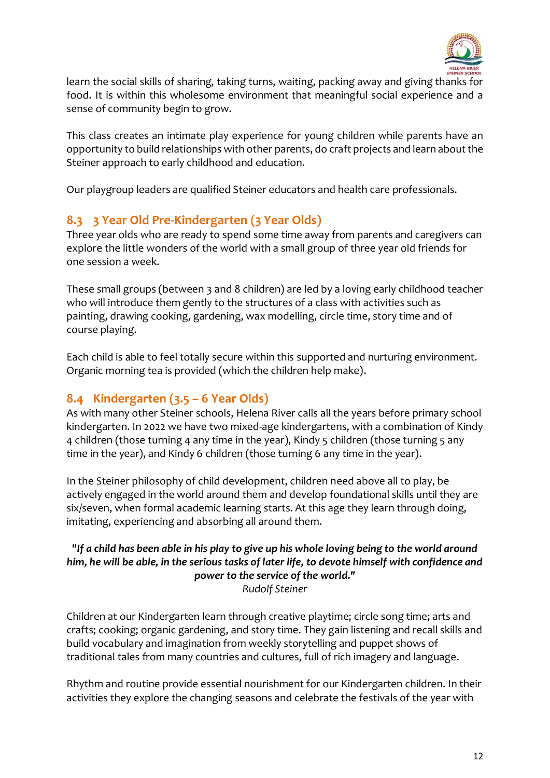

learn the social skills of sharing, taking turns, waiting, packing away and giving thanks for food. It is within this wholesome environment that meaningful social experience and a sense of community begin to grow.

This class creates an intimate play experience for young children while parents have an opportunity to build relationships with other parents, do craft projects and learn about the Steiner approach to early childhood and education.

Our playgroup leaders are qualified Steiner educators and health care professionals.

#### <span id="page-11-0"></span>**8.3 3 Year Old Pre-Kindergarten (3 Year Olds)**

Three year olds who are ready to spend some time away from parents and caregivers can explore the little wonders of the world with a small group of three year old friends for one session a week.

These small groups (between 3 and 8 children) are led by a loving early childhood teacher who will introduce them gently to the structures of a class with activities such as painting, drawing cooking, gardening, wax modelling, circle time, story time and of course playing.

Each child is able to feel totally secure within this supported and nurturing environment. Organic morning tea is provided (which the children help make).

#### <span id="page-11-1"></span>**8.4 Kindergarten (3.5 – 6 Year Olds)**

As with many other Steiner schools, Helena River calls all the years before primary school kindergarten. In 2022 we have two mixed-age kindergartens, with a combination of Kindy 4 children (those turning 4 any time in the year), Kindy 5 children (those turning 5 any time in the year), and Kindy 6 children (those turning 6 any time in the year).

In the Steiner philosophy of child development, children need above all to play, be actively engaged in the world around them and develop foundational skills until they are six/seven, when formal academic learning starts. At this age they learn through doing, imitating, experiencing and absorbing all around them.

#### *"If a child has been able in his play to give up his whole loving being to the world around him, he will be able, in the serious tasks of later life, to devote himself with confidence and power to the service of the world."*

*Rudolf Steiner*

Children at our Kindergarten learn through creative playtime; circle song time; arts and crafts; cooking; organic gardening, and story time. They gain listening and recall skills and build vocabulary and imagination from weekly storytelling and puppet shows of traditional tales from many countries and cultures, full of rich imagery and language.

Rhythm and routine provide essential nourishment for our Kindergarten children. In their activities they explore the changing seasons and celebrate the festivals of the year with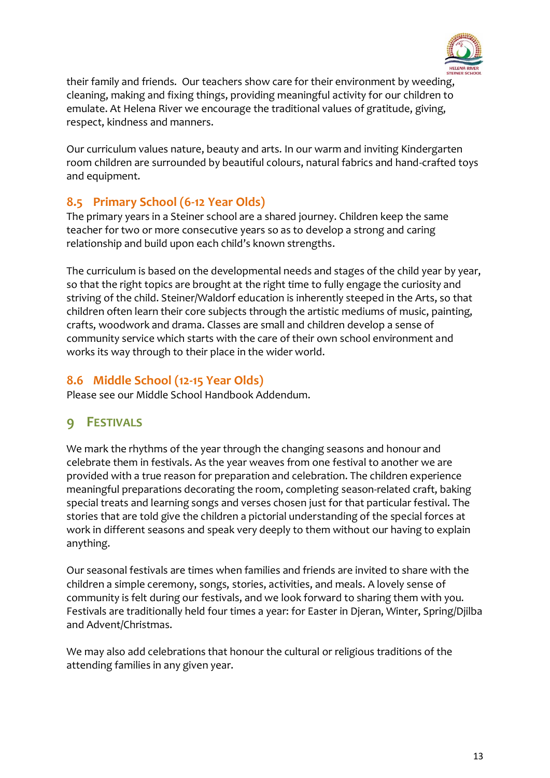

their family and friends. Our teachers show care for their environment by weeding, cleaning, making and fixing things, providing meaningful activity for our children to emulate. At Helena River we encourage the traditional values of gratitude, giving, respect, kindness and manners.

Our curriculum values nature, beauty and arts. In our warm and inviting Kindergarten room children are surrounded by beautiful colours, natural fabrics and hand-crafted toys and equipment.

#### <span id="page-12-0"></span>**8.5 Primary School (6-12 Year Olds)**

The primary years in a Steiner school are a shared journey. Children keep the same teacher for two or more consecutive years so as to develop a strong and caring relationship and build upon each child's known strengths.

The curriculum is based on the developmental needs and stages of the child year by year, so that the right topics are brought at the right time to fully engage the curiosity and striving of the child. Steiner/Waldorf education is inherently steeped in the Arts, so that children often learn their core subjects through the artistic mediums of music, painting, crafts, woodwork and drama. Classes are small and children develop a sense of community service which starts with the care of their own school environment and works its way through to their place in the wider world.

#### <span id="page-12-1"></span>**8.6 Middle School (12-15 Year Olds)**

<span id="page-12-2"></span>Please see our Middle School Handbook Addendum.

## **9 FESTIVALS**

We mark the rhythms of the year through the changing seasons and honour and celebrate them in festivals. As the year weaves from one festival to another we are provided with a true reason for preparation and celebration. The children experience meaningful preparations decorating the room, completing season-related craft, baking special treats and learning songs and verses chosen just for that particular festival. The stories that are told give the children a pictorial understanding of the special forces at work in different seasons and speak very deeply to them without our having to explain anything.

Our seasonal festivals are times when families and friends are invited to share with the children a simple ceremony, songs, stories, activities, and meals. A lovely sense of community is felt during our festivals, and we look forward to sharing them with you. Festivals are traditionally held four times a year: for Easter in Djeran, Winter, Spring/Djilba and Advent/Christmas.

We may also add celebrations that honour the cultural or religious traditions of the attending families in any given year.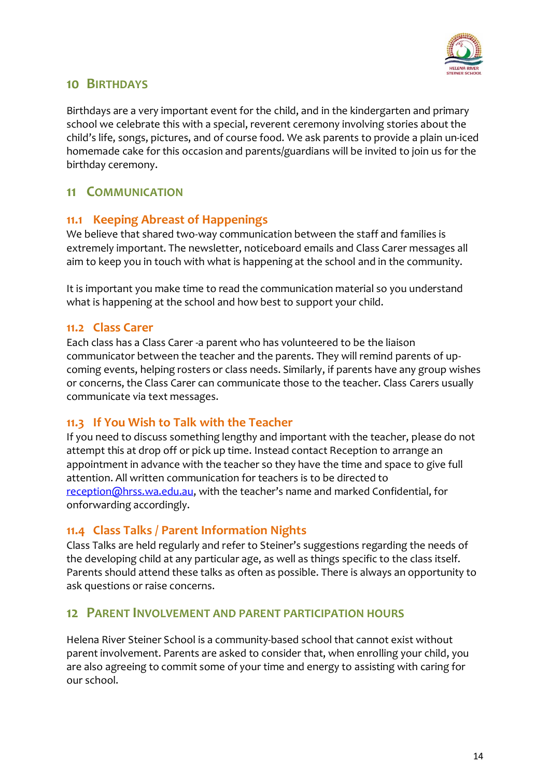

#### <span id="page-13-0"></span>**10 BIRTHDAYS**

Birthdays are a very important event for the child, and in the kindergarten and primary school we celebrate this with a special, reverent ceremony involving stories about the child's life, songs, pictures, and of course food. We ask parents to provide a plain un-iced homemade cake for this occasion and parents/guardians will be invited to join us for the birthday ceremony.

#### <span id="page-13-1"></span>**11 COMMUNICATION**

#### <span id="page-13-2"></span>**11.1 Keeping Abreast of Happenings**

We believe that shared two-way communication between the staff and families is extremely important. The newsletter, noticeboard emails and Class Carer messages all aim to keep you in touch with what is happening at the school and in the community.

It is important you make time to read the communication material so you understand what is happening at the school and how best to support your child.

#### <span id="page-13-3"></span>**11.2 Class Carer**

Each class has a Class Carer -a parent who has volunteered to be the liaison communicator between the teacher and the parents. They will remind parents of upcoming events, helping rosters or class needs. Similarly, if parents have any group wishes or concerns, the Class Carer can communicate those to the teacher. Class Carers usually communicate via text messages.

#### <span id="page-13-4"></span>**11.3 If You Wish to Talk with the Teacher**

If you need to discuss something lengthy and important with the teacher, please do not attempt this at drop off or pick up time. Instead contact Reception to arrange an appointment in advance with the teacher so they have the time and space to give full attention. All written communication for teachers is to be directed to [reception@hrss.wa.edu.au](mailto:reception@hrss.wa.edu.au), with the teacher's name and marked Confidential, for onforwarding accordingly.

#### <span id="page-13-5"></span>**11.4 Class Talks / Parent Information Nights**

Class Talks are held regularly and refer to Steiner's suggestions regarding the needs of the developing child at any particular age, as well as things specific to the class itself. Parents should attend these talks as often as possible. There is always an opportunity to ask questions or raise concerns.

#### <span id="page-13-6"></span>**12 PARENT INVOLVEMENT AND PARENT PARTICIPATION HOURS**

Helena River Steiner School is a community-based school that cannot exist without parent involvement. Parents are asked to consider that, when enrolling your child, you are also agreeing to commit some of your time and energy to assisting with caring for our school.